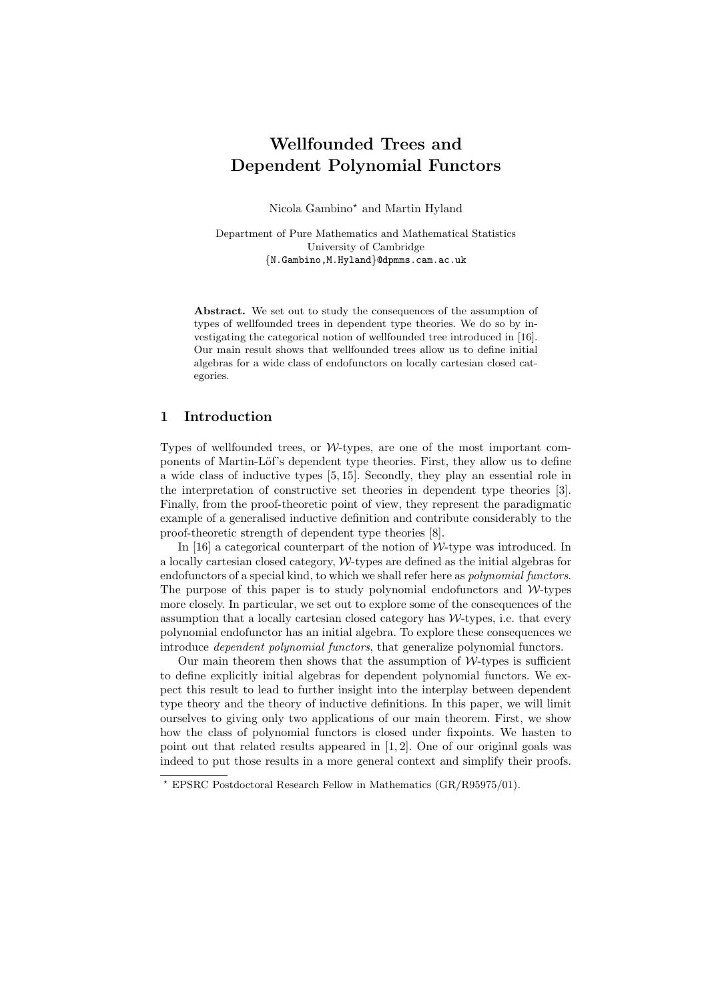# Wellfounded Trees and Dependent Polynomial Functors

Nicola Gambino? and Martin Hyland

Department of Pure Mathematics and Mathematical Statistics University of Cambridge {N.Gambino,M.Hyland}@dpmms.cam.ac.uk

Abstract. We set out to study the consequences of the assumption of types of wellfounded trees in dependent type theories. We do so by investigating the categorical notion of wellfounded tree introduced in [16]. Our main result shows that wellfounded trees allow us to define initial algebras for a wide class of endofunctors on locally cartesian closed categories.

# 1 Introduction

Types of wellfounded trees, or  $W$ -types, are one of the most important components of Martin-Löf's dependent type theories. First, they allow us to define a wide class of inductive types [5, 15]. Secondly, they play an essential role in the interpretation of constructive set theories in dependent type theories [3]. Finally, from the proof-theoretic point of view, they represent the paradigmatic example of a generalised inductive definition and contribute considerably to the proof-theoretic strength of dependent type theories [8].

In [16] a categorical counterpart of the notion of  $W$ -type was introduced. In a locally cartesian closed category, W-types are defined as the initial algebras for endofunctors of a special kind, to which we shall refer here as *polynomial functors*. The purpose of this paper is to study polynomial endofunctors and  $W$ -types more closely. In particular, we set out to explore some of the consequences of the assumption that a locally cartesian closed category has  $W$ -types, i.e. that every polynomial endofunctor has an initial algebra. To explore these consequences we introduce dependent polynomial functors, that generalize polynomial functors.

Our main theorem then shows that the assumption of  $W$ -types is sufficient to define explicitly initial algebras for dependent polynomial functors. We expect this result to lead to further insight into the interplay between dependent type theory and the theory of inductive definitions. In this paper, we will limit ourselves to giving only two applications of our main theorem. First, we show how the class of polynomial functors is closed under fixpoints. We hasten to point out that related results appeared in [1, 2]. One of our original goals was indeed to put those results in a more general context and simplify their proofs.

<sup>?</sup> EPSRC Postdoctoral Research Fellow in Mathematics (GR/R95975/01).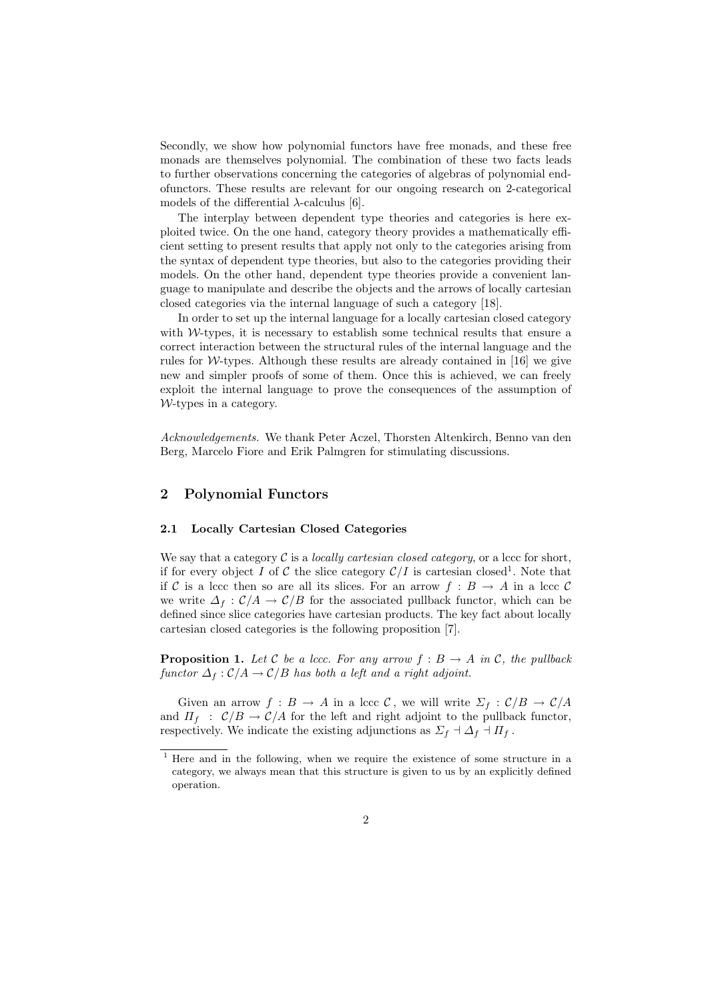Secondly, we show how polynomial functors have free monads, and these free monads are themselves polynomial. The combination of these two facts leads to further observations concerning the categories of algebras of polynomial endofunctors. These results are relevant for our ongoing research on 2-categorical models of the differential  $\lambda$ -calculus [6].

The interplay between dependent type theories and categories is here exploited twice. On the one hand, category theory provides a mathematically efficient setting to present results that apply not only to the categories arising from the syntax of dependent type theories, but also to the categories providing their models. On the other hand, dependent type theories provide a convenient language to manipulate and describe the objects and the arrows of locally cartesian closed categories via the internal language of such a category [18].

In order to set up the internal language for a locally cartesian closed category with  $W$ -types, it is necessary to establish some technical results that ensure a correct interaction between the structural rules of the internal language and the rules for W-types. Although these results are already contained in  $[16]$  we give new and simpler proofs of some of them. Once this is achieved, we can freely exploit the internal language to prove the consequences of the assumption of W-types in a category.

Acknowledgements. We thank Peter Aczel, Thorsten Altenkirch, Benno van den Berg, Marcelo Fiore and Erik Palmgren for stimulating discussions.

# 2 Polynomial Functors

## 2.1 Locally Cartesian Closed Categories

We say that a category  $\mathcal C$  is a *locally cartesian closed category*, or a lccc for short, if for every object I of C the slice category  $\mathcal{C}/I$  is cartesian closed<sup>1</sup>. Note that if C is a lccc then so are all its slices. For an arrow  $f : B \to A$  in a lccc C we write  $\Delta_f : C/A \to C/B$  for the associated pullback functor, which can be defined since slice categories have cartesian products. The key fact about locally cartesian closed categories is the following proposition [7].

**Proposition 1.** Let C be a lccc. For any arrow  $f : B \to A$  in C, the pullback functor  $\Delta_f : C/A \to C/B$  has both a left and a right adjoint.

Given an arrow  $f : B \to A$  in a lccc C, we will write  $\Sigma_f : C/B \to C/A$ and  $\Pi_f$  :  $C/B \to C/A$  for the left and right adjoint to the pullback functor, respectively. We indicate the existing adjunctions as  $\Sigma_f \dashv \Delta_f \dashv \Pi_f$ .

<sup>1</sup> Here and in the following, when we require the existence of some structure in a category, we always mean that this structure is given to us by an explicitly defined operation.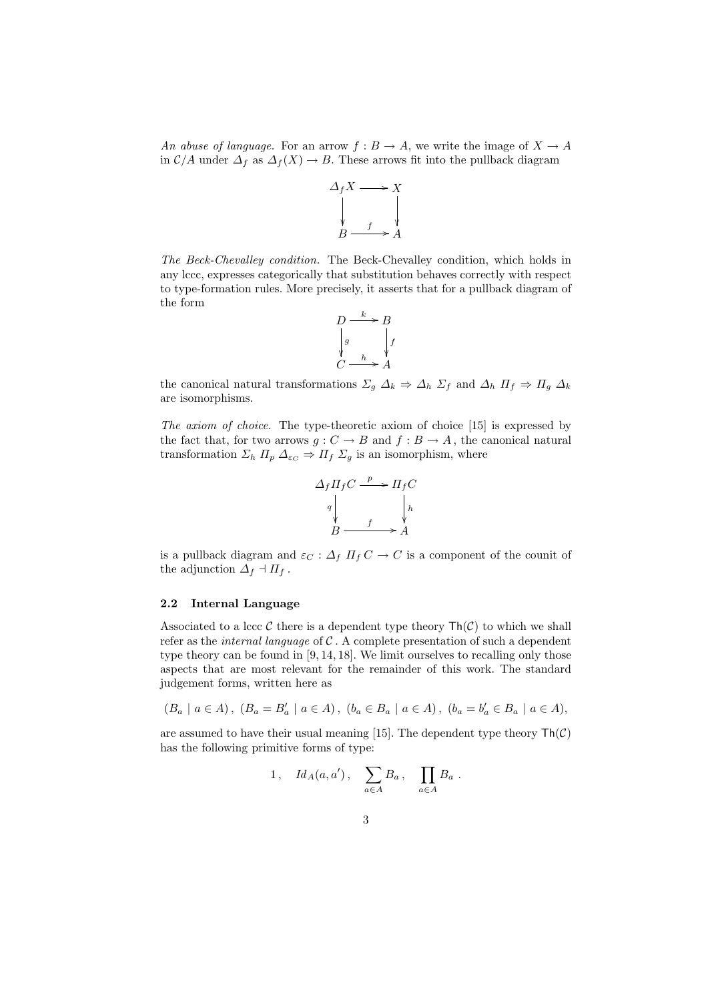An abuse of language. For an arrow  $f : B \to A$ , we write the image of  $X \to A$ in  $C/A$  under  $\Delta_f$  as  $\Delta_f(X) \to B$ . These arrows fit into the pullback diagram



The Beck-Chevalley condition. The Beck-Chevalley condition, which holds in any lccc, expresses categorically that substitution behaves correctly with respect to type-formation rules. More precisely, it asserts that for a pullback diagram of the form



the canonical natural transformations  $\Sigma_g \Delta_k \Rightarrow \Delta_h \Sigma_f$  and  $\Delta_h \Pi_f \Rightarrow \Pi_g \Delta_k$ are isomorphisms.

The axiom of choice. The type-theoretic axiom of choice [15] is expressed by the fact that, for two arrows  $g: C \to B$  and  $f: B \to A$ , the canonical natural transformation  $\Sigma_h \Pi_p \Delta_{\varepsilon_c} \Rightarrow \Pi_f \Sigma_g$  is an isomorphism, where



is a pullback diagram and  $\varepsilon_C : \Delta_f \Pi_f C \to C$  is a component of the counit of the adjunction  $\Delta_f \dashv \Pi_f$ .

## 2.2 Internal Language

Associated to a lccc C there is a dependent type theory  $\text{Th}(\mathcal{C})$  to which we shall refer as the *internal language* of  $C$ . A complete presentation of such a dependent type theory can be found in [9, 14, 18]. We limit ourselves to recalling only those aspects that are most relevant for the remainder of this work. The standard judgement forms, written here as

$$
(B_a \mid a \in A), (B_a = B'_a \mid a \in A), (b_a \in B_a \mid a \in A), (b_a = b'_a \in B_a \mid a \in A),
$$

are assumed to have their usual meaning [15]. The dependent type theory  $\text{Th}(\mathcal{C})$ has the following primitive forms of type:

$$
1\,,\quad Id_A(a,a')\,,\quad \sum_{a\in A}B_a\,,\quad \prod_{a\in A}B_a\,.
$$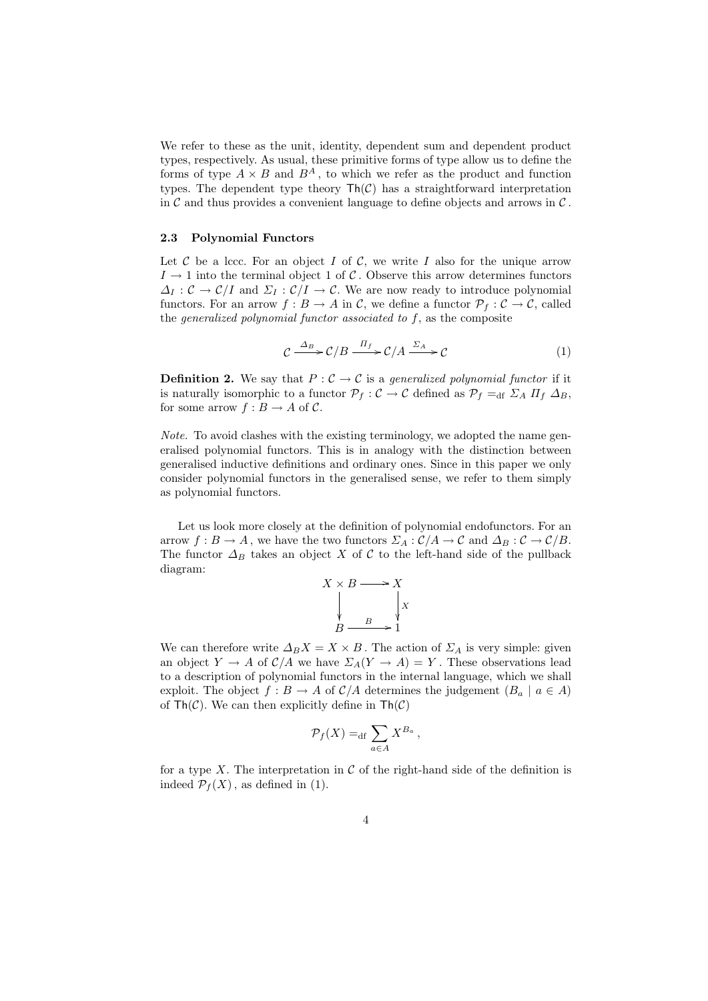We refer to these as the unit, identity, dependent sum and dependent product types, respectively. As usual, these primitive forms of type allow us to define the forms of type  $A \times B$  and  $B^A$ , to which we refer as the product and function types. The dependent type theory  $\mathsf{Th}(\mathcal{C})$  has a straightforward interpretation in C and thus provides a convenient language to define objects and arrows in  $\mathcal{C}$ .

#### 2.3 Polynomial Functors

Let  $\mathcal C$  be a lccc. For an object  $I$  of  $\mathcal C$ , we write  $I$  also for the unique arrow  $I \rightarrow 1$  into the terminal object 1 of C. Observe this arrow determines functors  $\Delta_I: \mathcal{C} \to \mathcal{C}/I$  and  $\Sigma_I: \mathcal{C}/I \to \mathcal{C}$ . We are now ready to introduce polynomial functors. For an arrow  $f : B \to A$  in C, we define a functor  $\mathcal{P}_f : C \to C$ , called the *generalized polynomial functor associated to f*, as the composite

$$
C \xrightarrow{\Delta_B} C/B \xrightarrow{\Pi_f} C/A \xrightarrow{\Sigma_A} C \tag{1}
$$

**Definition 2.** We say that  $P: \mathcal{C} \to \mathcal{C}$  is a generalized polynomial functor if it is naturally isomorphic to a functor  $\mathcal{P}_f : \mathcal{C} \to \mathcal{C}$  defined as  $\mathcal{P}_f =_{df} \Sigma_A \Pi_f \Delta_B$ , for some arrow  $f : B \to A$  of C.

Note. To avoid clashes with the existing terminology, we adopted the name generalised polynomial functors. This is in analogy with the distinction between generalised inductive definitions and ordinary ones. Since in this paper we only consider polynomial functors in the generalised sense, we refer to them simply as polynomial functors.

Let us look more closely at the definition of polynomial endofunctors. For an arrow  $f : B \to A$ , we have the two functors  $\Sigma_A : C/A \to C$  and  $\Delta_B : C \to C/B$ . The functor  $\Delta_B$  takes an object X of C to the left-hand side of the pullback diagram:

$$
X \times B \longrightarrow X
$$
  
\n
$$
\downarrow \qquad \qquad \downarrow X
$$
  
\n
$$
B \xrightarrow{B} 1
$$

We can therefore write  $\Delta_B X = X \times B$ . The action of  $\Sigma_A$  is very simple: given an object  $Y \to A$  of  $\mathcal{C}/A$  we have  $\Sigma_A(Y \to A) = Y$ . These observations lead to a description of polynomial functors in the internal language, which we shall exploit. The object  $f : B \to A$  of  $\mathcal{C}/A$  determines the judgement  $(B_a \mid a \in A)$ of  $\mathsf{Th}(\mathcal{C})$ . We can then explicitly define in  $\mathsf{Th}(\mathcal{C})$ 

$$
\mathcal{P}_f(X) =_{\mathrm{df}} \sum_{a \in A} X^{B_a} \,,
$$

for a type X. The interpretation in  $\mathcal C$  of the right-hand side of the definition is indeed  $\mathcal{P}_f(X)$ , as defined in (1).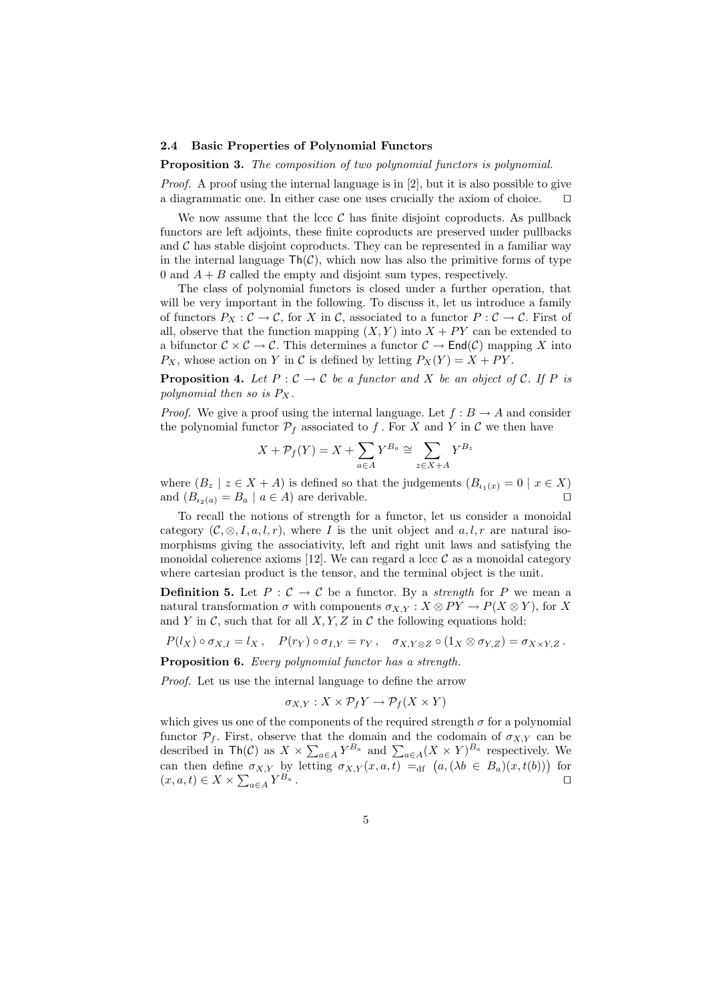#### 2.4 Basic Properties of Polynomial Functors

Proposition 3. The composition of two polynomial functors is polynomial.

Proof. A proof using the internal language is in [2], but it is also possible to give a diagrammatic one. In either case one uses crucially the axiom of choice.  $\square$ 

We now assume that the lccc  $C$  has finite disjoint coproducts. As pullback functors are left adjoints, these finite coproducts are preserved under pullbacks and  $\mathcal C$  has stable disjoint coproducts. They can be represented in a familiar way in the internal language  $\text{Th}(\mathcal{C})$ , which now has also the primitive forms of type 0 and  $A + B$  called the empty and disjoint sum types, respectively.

The class of polynomial functors is closed under a further operation, that will be very important in the following. To discuss it, let us introduce a family of functors  $P_X: \mathcal{C} \to \mathcal{C}$ , for X in  $\mathcal{C}$ , associated to a functor  $P: \mathcal{C} \to \mathcal{C}$ . First of all, observe that the function mapping  $(X, Y)$  into  $X + PY$  can be extended to a bifunctor  $C \times C \to C$ . This determines a functor  $C \to \text{End}(\mathcal{C})$  mapping X into  $P_X$ , whose action on Y in C is defined by letting  $P_X(Y) = X + PY$ .

**Proposition 4.** Let  $P: \mathcal{C} \to \mathcal{C}$  be a functor and X be an object of  $\mathcal{C}$ . If P is polynomial then so is  $P_X$ .

*Proof.* We give a proof using the internal language. Let  $f : B \to A$  and consider the polynomial functor  $\mathcal{P}_f$  associated to f. For X and Y in C we then have

$$
X + \mathcal{P}_f(Y) = X + \sum_{a \in A} Y^{B_a} \cong \sum_{z \in X + A} Y^{B_z}
$$

where  $(B_z \mid z \in X + A)$  is defined so that the judgements  $(B_{i_1(x)} = 0 \mid x \in X)$ and  $(B_{i_2(a)} = B_a \mid a \in A)$  are derivable.

To recall the notions of strength for a functor, let us consider a monoidal category  $(C, \otimes, I, a, l, r)$ , where I is the unit object and  $a, l, r$  are natural isomorphisms giving the associativity, left and right unit laws and satisfying the monoidal coherence axioms [12]. We can regard a lccc  $\mathcal{C}$  as a monoidal category where cartesian product is the tensor, and the terminal object is the unit.

**Definition 5.** Let  $P : C \to C$  be a functor. By a *strength* for P we mean a natural transformation  $\sigma$  with components  $\sigma_{X,Y} : X \otimes PY \to P(X \otimes Y)$ , for X and Y in C, such that for all  $X, Y, Z$  in C the following equations hold:

$$
P(l_X) \circ \sigma_{X,I} = l_X, \quad P(r_Y) \circ \sigma_{I,Y} = r_Y, \quad \sigma_{X,Y \otimes Z} \circ (1_X \otimes \sigma_{Y,Z}) = \sigma_{X \times Y,Z}.
$$

Proposition 6. Every polynomial functor has a strength.

Proof. Let us use the internal language to define the arrow

$$
\sigma_{X,Y} : X \times \mathcal{P}_f Y \to \mathcal{P}_f (X \times Y)
$$

which gives us one of the components of the required strength  $\sigma$  for a polynomial functor  $\mathcal{P}_f$ . First, observe that the domain and the codomain of  $\sigma_{XY}$  can be described in  $\text{Th}(\mathcal{C})$  as  $X \times \sum_{a \in A} Y^{B_a}$  and  $\sum_{a \in A} (X \times Y)^{B_a}$  respectively. We can then define  $\sigma_{X,Y}$  by letting  $\sigma_{X,Y}(x, a, t) =_{df} (a, (\lambda b \in B_a)(x, t(b)))$  for  $(x, a, t) \in X \times \sum_{a \in A} Y$  $B_a$ .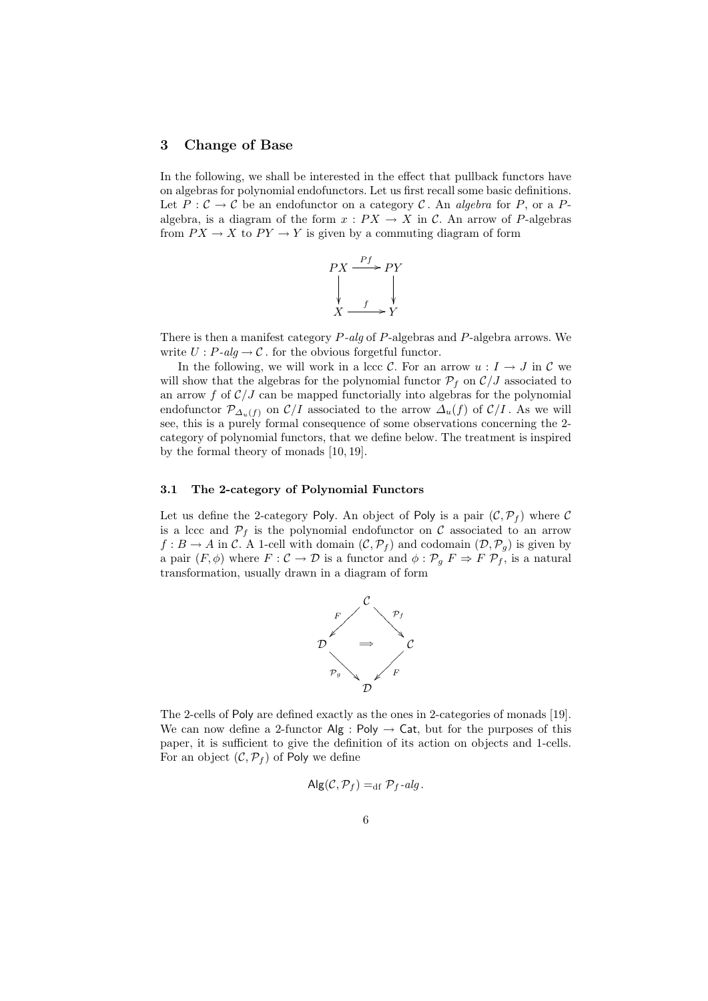## 3 Change of Base

In the following, we shall be interested in the effect that pullback functors have on algebras for polynomial endofunctors. Let us first recall some basic definitions. Let  $P: \mathcal{C} \to \mathcal{C}$  be an endofunctor on a category  $\mathcal{C}$ . An algebra for P, or a Palgebra, is a diagram of the form  $x : PX \to X$  in C. An arrow of P-algebras from  $PX \to X$  to  $PY \to Y$  is given by a commuting diagram of form



There is then a manifest category P-alg of P-algebras and P-algebra arrows. We write  $U : P\text{-}alg \to \mathcal{C}$ . for the obvious forgetful functor.

In the following, we will work in a lccc C. For an arrow  $u: I \to J$  in C we will show that the algebras for the polynomial functor  $P_f$  on  $C/J$  associated to an arrow  $f$  of  $\mathcal{C}/J$  can be mapped functorially into algebras for the polynomial endofunctor  $\mathcal{P}_{\Delta_u(f)}$  on  $\mathcal{C}/I$  associated to the arrow  $\Delta_u(f)$  of  $\mathcal{C}/I$ . As we will see, this is a purely formal consequence of some observations concerning the 2 category of polynomial functors, that we define below. The treatment is inspired by the formal theory of monads [10, 19].

## 3.1 The 2-category of Polynomial Functors

Let us define the 2-category Poly. An object of Poly is a pair  $(C, \mathcal{P}_f)$  where C is a lccc and  $P_f$  is the polynomial endofunctor on C associated to an arrow  $f : B \to A$  in C. A 1-cell with domain  $(C, \mathcal{P}_f)$  and codomain  $(\mathcal{D}, \mathcal{P}_g)$  is given by a pair  $(F, \phi)$  where  $F : C \to \mathcal{D}$  is a functor and  $\phi : \mathcal{P}_g F \Rightarrow F \mathcal{P}_f$ , is a natural transformation, usually drawn in a diagram of form



The 2-cells of Poly are defined exactly as the ones in 2-categories of monads [19]. We can now define a 2-functor  $\mathsf{Alg}: \mathsf{Poly} \to \mathsf{Cat}$ , but for the purposes of this paper, it is sufficient to give the definition of its action on objects and 1-cells. For an object  $(C, \mathcal{P}_f)$  of Poly we define

$$
Alg(\mathcal{C}, \mathcal{P}_f) =_{df} \mathcal{P}_f - alg.
$$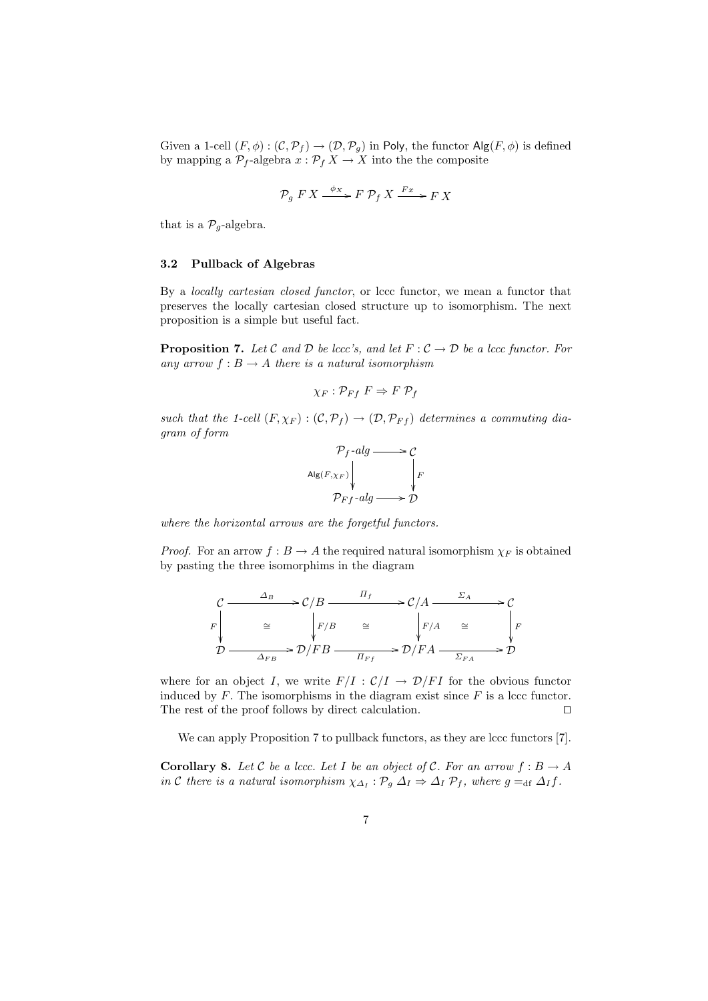Given a 1-cell  $(F, \phi) : (\mathcal{C}, \mathcal{P}_f) \to (\mathcal{D}, \mathcal{P}_g)$  in Poly, the functor  $\text{Alg}(F, \phi)$  is defined by mapping a  $\mathcal{P}_f$ -algebra  $x : \mathcal{P}_f X \to X$  into the the composite

$$
\mathcal{P}_g \ F \ X \xrightarrow{\phi_X} F \ \mathcal{P}_f \ X \xrightarrow{Fx} F \ X
$$

that is a  $P_g$ -algebra.

## 3.2 Pullback of Algebras

By a locally cartesian closed functor, or lccc functor, we mean a functor that preserves the locally cartesian closed structure up to isomorphism. The next proposition is a simple but useful fact.

**Proposition 7.** Let C and D be lccc's, and let  $F : C \to D$  be a lccc functor. For any arrow  $f : B \to A$  there is a natural isomorphism

$$
\chi_F: \mathcal{P}_{Ff} \ F \Rightarrow F \ \mathcal{P}_f
$$

such that the 1-cell  $(F, \chi_F) : (\mathcal{C}, \mathcal{P}_f) \to (\mathcal{D}, \mathcal{P}_{Ff})$  determines a commuting diagram of form

$$
\mathcal{P}_f\text{-}alg \longrightarrow \mathcal{C}
$$
\n
$$
\left.\begin{array}{c} \mathsf{Alg}(F_{,XF}) \\ \downarrow \\ \mathsf{P}_{Ff}\text{-}alg \longrightarrow \mathcal{D} \end{array}\right|_F
$$

where the horizontal arrows are the forgetful functors.

*Proof.* For an arrow  $f : B \to A$  the required natural isomorphism  $\chi_F$  is obtained by pasting the three isomorphims in the diagram

$$
\begin{array}{ccc}\nC & \xrightarrow{\Delta_B} & C/B & \xrightarrow{\Pi_f} & & C/A & \xrightarrow{\Sigma_A} & & C \\
F \downarrow & \cong & \downarrow F/B & \cong & \downarrow F/A & \cong & \downarrow F \\
\mathcal{D} & \xrightarrow{\Delta_{FB}} & \mathcal{D}/FB & \xrightarrow{\Pi_{Ff}} & \mathcal{D}/FA & \xrightarrow{\Sigma_{FA}} & \mathcal{D}\n\end{array}
$$

where for an object I, we write  $F/I : C/I \rightarrow \mathcal{D}/FI$  for the obvious functor induced by  $F$ . The isomorphisms in the diagram exist since  $F$  is a lccc functor. The rest of the proof follows by direct calculation.  $\Box$ 

We can apply Proposition 7 to pullback functors, as they are lccc functors [7].

**Corollary 8.** Let C be a lccc. Let I be an object of C. For an arrow  $f : B \to A$ in C there is a natural isomorphism  $\chi_{\Delta_I} : \mathcal{P}_g \Delta_I \Rightarrow \Delta_I \mathcal{P}_f$ , where  $g =_{df} \Delta_I f$ .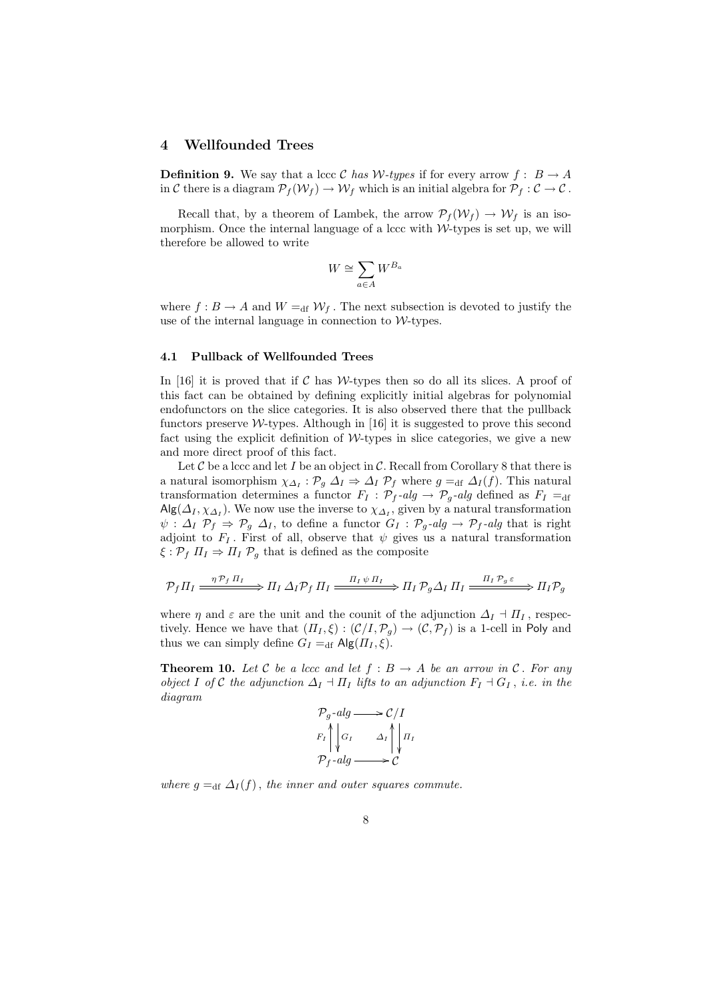## 4 Wellfounded Trees

**Definition 9.** We say that a lccc C has W-types if for every arrow  $f : B \to A$ in C there is a diagram  $\mathcal{P}_f(\mathcal{W}_f) \to \mathcal{W}_f$  which is an initial algebra for  $\mathcal{P}_f : \mathcal{C} \to \mathcal{C}$ .

Recall that, by a theorem of Lambek, the arrow  $\mathcal{P}_f(\mathcal{W}_f) \to \mathcal{W}_f$  is an isomorphism. Once the internal language of a lccc with  $W$ -types is set up, we will therefore be allowed to write

$$
W\cong \sum_{a\in A} W^{B_a}
$$

where  $f : B \to A$  and  $W =_{df} \mathcal{W}_f$ . The next subsection is devoted to justify the use of the internal language in connection to  $W$ -types.

## 4.1 Pullback of Wellfounded Trees

In  $[16]$  it is proved that if C has W-types then so do all its slices. A proof of this fact can be obtained by defining explicitly initial algebras for polynomial endofunctors on the slice categories. It is also observed there that the pullback functors preserve  $W$ -types. Although in [16] it is suggested to prove this second fact using the explicit definition of  $W$ -types in slice categories, we give a new and more direct proof of this fact.

Let  $C$  be a lccc and let I be an object in  $C$ . Recall from Corollary 8 that there is a natural isomorphism  $\chi_{\Delta_I} : \mathcal{P}_g \Delta_I \Rightarrow \Delta_I \mathcal{P}_f$  where  $g =_{df} \Delta_I(f)$ . This natural transformation determines a functor  $F_I : \mathcal{P}_f$ -alg  $\rightarrow \mathcal{P}_g$ -alg defined as  $F_I =_{df}$  $\mathsf{Alg}(\Delta_I, \chi_{\Delta_I})$ . We now use the inverse to  $\chi_{\Delta_I}$ , given by a natural transformation  $\psi$  :  $\Delta_I$   $\mathcal{P}_f \Rightarrow \mathcal{P}_g$   $\Delta_I$ , to define a functor  $G_I$  :  $\mathcal{P}_g$ -alg  $\rightarrow \mathcal{P}_f$ -alg that is right adjoint to  $F_I$ . First of all, observe that  $\psi$  gives us a natural transformation  $\xi : \mathcal{P}_f \Pi_I \Rightarrow \Pi_I \mathcal{P}_g$  that is defined as the composite

$$
\mathcal{P}_f \Pi_I \xrightarrow{\eta \mathcal{P}_f \Pi_I} \Pi_I \Delta_I \mathcal{P}_f \Pi_I \xrightarrow{\Pi_I \psi \Pi_I} \Pi_I \mathcal{P}_g \Delta_I \Pi_I \xrightarrow{\Pi_I \mathcal{P}_g \varepsilon} \Pi_I \mathcal{P}_g
$$

where  $\eta$  and  $\varepsilon$  are the unit and the counit of the adjunction  $\Delta_I \dashv \Pi_I$ , respectively. Hence we have that  $(\Pi_I, \xi) : (\mathcal{C}/I, \mathcal{P}_g) \to (\mathcal{C}, \mathcal{P}_f)$  is a 1-cell in Poly and thus we can simply define  $G_I =_{df} \mathsf{Alg}(H_I, \xi)$ .

**Theorem 10.** Let C be a lccc and let  $f : B \to A$  be an arrow in C. For any object I of C the adjunction  $\Delta_I \dashv \Pi_I$  lifts to an adjunction  $F_I \dashv G_I$ , i.e. in the diagram

$$
\mathcal{P}_g\negthinspace\negthinspace\negthinspace\longrightarrow\n \mathcal{C}/I
$$
\n
$$
\mathcal{F}_I \bigg\downarrow \mathcal{G}_I \qquad \Delta_I \bigg\downarrow \mathcal{H}_I
$$
\n
$$
\mathcal{P}_f\negthinspace\negthinspace\negthinspace\longrightarrow\n \mathcal{C}
$$

where  $q =_{df} \Delta_I(f)$ , the inner and outer squares commute.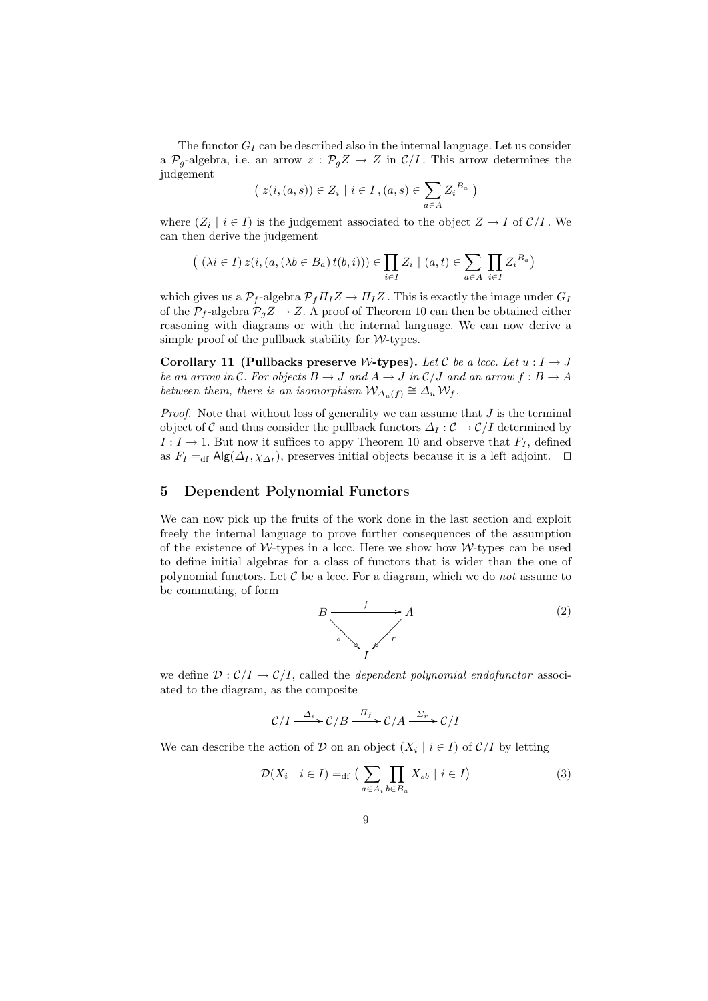The functor  $G_I$  can be described also in the internal language. Let us consider a  $\mathcal{P}_g$ -algebra, i.e. an arrow  $z : \mathcal{P}_g Z \to Z$  in  $\mathcal{C}/I$ . This arrow determines the judgement

$$
(z(i,(a,s)) \in Z_i \mid i \in I, (a,s) \in \sum_{a \in A} Z_i^{B_a})
$$

where  $(Z_i \mid i \in I)$  is the judgement associated to the object  $Z \to I$  of  $\mathcal{C}/I$ . We can then derive the judgement

$$
\big(\ (\lambda i \in I) \ z(i, (a, (\lambda b \in B_a) \ t(b, i))) \in \prod_{i \in I} Z_i \ | \ (a, t) \in \sum_{a \in A} \prod_{i \in I} Z_i^{B_a} \big)
$$

which gives us a  $\mathcal{P}_f$ -algebra  $\mathcal{P}_f \Pi_I Z \to \Pi_I Z$ . This is exactly the image under  $G_I$ of the  $\mathcal{P}_f$ -algebra  $\mathcal{P}_g Z \to Z$ . A proof of Theorem 10 can then be obtained either reasoning with diagrams or with the internal language. We can now derive a simple proof of the pullback stability for  $W$ -types.

Corollary 11 (Pullbacks preserve W-types). Let C be a lccc. Let  $u : I \to J$ be an arrow in C. For objects  $B \to J$  and  $A \to J$  in  $\mathcal{C}/J$  and an arrow  $f : B \to A$ between them, there is an isomorphism  $\mathcal{W}_{\Delta_u(f)} \cong \mathcal{A}_u \mathcal{W}_f$ .

*Proof.* Note that without loss of generality we can assume that  $J$  is the terminal object of C and thus consider the pullback functors  $\Delta_I : \mathcal{C} \to \mathcal{C}/I$  determined by  $I: I \to 1$ . But now it suffices to appy Theorem 10 and observe that  $F_I$ , defined as  $F_I =_{df} \mathsf{Alg}(\Delta_I, \chi_{\Delta_I})$ , preserves initial objects because it is a left adjoint.  $\Box$ 

# 5 Dependent Polynomial Functors

We can now pick up the fruits of the work done in the last section and exploit freely the internal language to prove further consequences of the assumption of the existence of  $W$ -types in a lccc. Here we show how  $W$ -types can be used to define initial algebras for a class of functors that is wider than the one of polynomial functors. Let  $C$  be a lccc. For a diagram, which we do *not* assume to be commuting, of form

$$
B \xrightarrow{\qquad f} A
$$
\n
$$
S \xrightarrow{\qquad f} T
$$
\n(2)

we define  $\mathcal{D}: \mathcal{C}/I \to \mathcal{C}/I$ , called the *dependent polynomial endofunctor* associated to the diagram, as the composite

$$
\mathcal{C}/I \xrightarrow{\Delta_s} \mathcal{C}/B \xrightarrow{\Pi_f} \mathcal{C}/A \xrightarrow{\Sigma_r} \mathcal{C}/I
$$

We can describe the action of D on an object  $(X_i \mid i \in I)$  of  $\mathcal{C}/I$  by letting

$$
\mathcal{D}(X_i \mid i \in I) =_{\text{df}} \left( \sum_{a \in A_i} \prod_{b \in B_a} X_{sb} \mid i \in I \right) \tag{3}
$$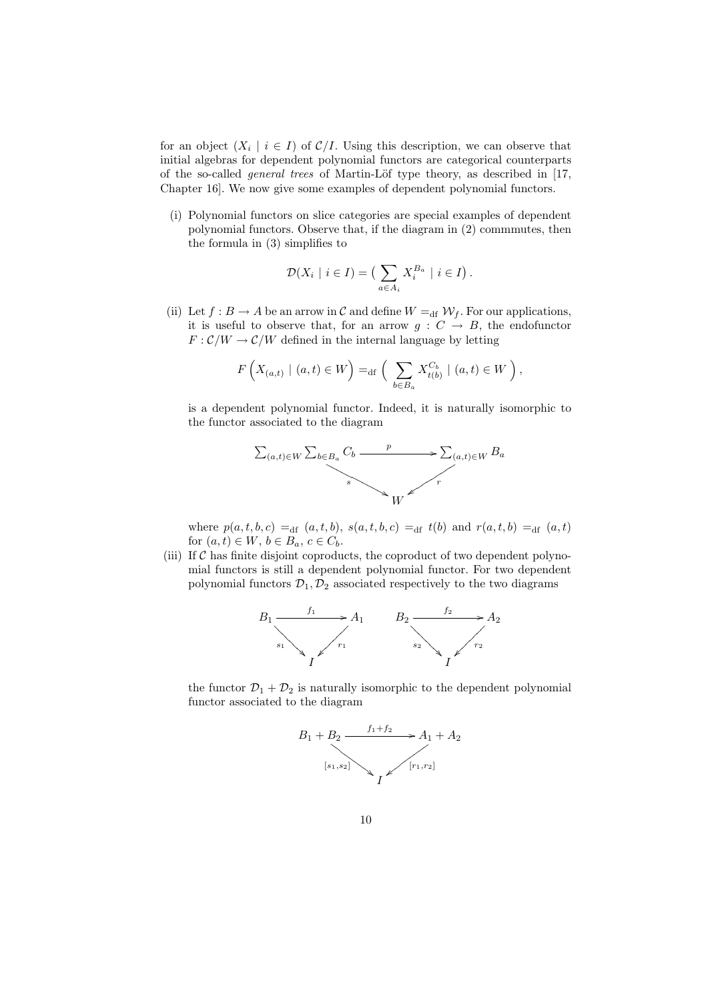for an object  $(X_i \mid i \in I)$  of  $C/I$ . Using this description, we can observe that initial algebras for dependent polynomial functors are categorical counterparts of the so-called *general trees* of Martin-Löf type theory, as described in [17, Chapter 16]. We now give some examples of dependent polynomial functors.

(i) Polynomial functors on slice categories are special examples of dependent polynomial functors. Observe that, if the diagram in (2) commmutes, then the formula in (3) simplifies to

$$
\mathcal{D}(X_i \mid i \in I) = \left( \sum_{a \in A_i} X_i^{B_a} \mid i \in I \right).
$$

(ii) Let  $f : B \to A$  be an arrow in C and define  $W =_{df} W_f$ . For our applications, it is useful to observe that, for an arrow  $g: C \rightarrow B$ , the endofunctor  $F: \mathcal{C}/W \to \mathcal{C}/W$  defined in the internal language by letting

$$
F\left(X_{(a,t)} \mid (a,t) \in W\right) =_{\mathrm{df}} \left( \sum_{b \in B_a} X_{t(b)}^{C_b} \mid (a,t) \in W \right),
$$

is a dependent polynomial functor. Indeed, it is naturally isomorphic to the functor associated to the diagram



where  $p(a, t, b, c) =_{df} (a, t, b), s(a, t, b, c) =_{df} t(b)$  and  $r(a, t, b) =_{df} (a, t)$ for  $(a, t) \in W$ ,  $b \in B_a$ ,  $c \in C_b$ .

(iii) If  $C$  has finite disjoint coproducts, the coproduct of two dependent polynomial functors is still a dependent polynomial functor. For two dependent polynomial functors  $\mathcal{D}_1, \mathcal{D}_2$  associated respectively to the two diagrams



the functor  $\mathcal{D}_1 + \mathcal{D}_2$  is naturally isomorphic to the dependent polynomial functor associated to the diagram

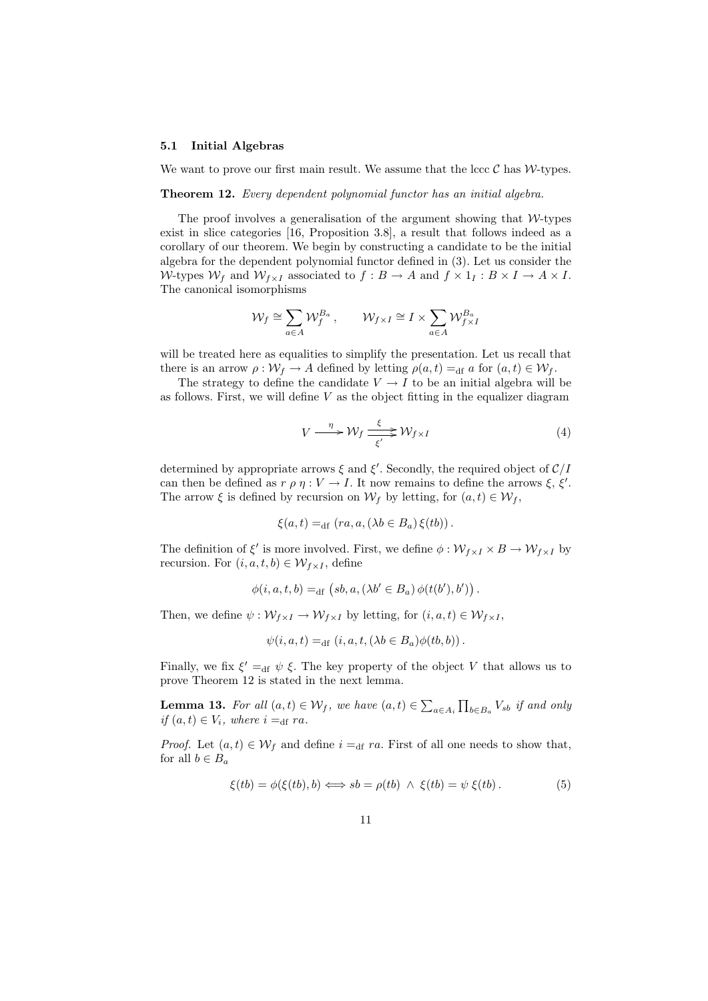#### 5.1 Initial Algebras

We want to prove our first main result. We assume that the lccc  $\mathcal C$  has  $\mathcal W$ -types.

Theorem 12. Every dependent polynomial functor has an initial algebra.

The proof involves a generalisation of the argument showing that  $W$ -types exist in slice categories [16, Proposition 3.8], a result that follows indeed as a corollary of our theorem. We begin by constructing a candidate to be the initial algebra for the dependent polynomial functor defined in (3). Let us consider the W-types  $W_f$  and  $W_{f \times I}$  associated to  $f : B \to A$  and  $f \times 1_I : B \times I \to A \times I$ . The canonical isomorphisms

$$
\mathcal{W}_f \cong \sum_{a \in A} \mathcal{W}_f^{B_a}, \qquad \mathcal{W}_{f \times I} \cong I \times \sum_{a \in A} \mathcal{W}_{f \times I}^{B_a}
$$

will be treated here as equalities to simplify the presentation. Let us recall that there is an arrow  $\rho: \mathcal{W}_f \to A$  defined by letting  $\rho(a, t) =_{\text{df}} a$  for  $(a, t) \in \mathcal{W}_f$ .

The strategy to define the candidate  $V \rightarrow I$  to be an initial algebra will be as follows. First, we will define  $V$  as the object fitting in the equalizer diagram

$$
V \xrightarrow{\eta} \mathcal{W}_f \xrightarrow{\xi} \mathcal{W}_{f \times I} \tag{4}
$$

determined by appropriate arrows  $\xi$  and  $\xi'$ . Secondly, the required object of  $\mathcal{C}/I$ can then be defined as  $r \rho \eta : V \to I$ . It now remains to define the arrows  $\xi, \xi'$ . The arrow  $\xi$  is defined by recursion on  $\mathcal{W}_f$  by letting, for  $(a, t) \in \mathcal{W}_f$ ,

$$
\xi(a,t) =_{\mathrm{df}} (ra, a, (\lambda b \in B_a) \xi(tb)).
$$

The definition of  $\xi'$  is more involved. First, we define  $\phi: \mathcal{W}_{f \times I} \times B \to \mathcal{W}_{f \times I}$  by recursion. For  $(i, a, t, b) \in W_{f \times I}$ , define

$$
\phi(i, a, t, b) =_{df} (sb, a, (\lambda b' \in B_a) \phi(t(b'), b'))
$$

Then, we define  $\psi : \mathcal{W}_{f \times I} \to \mathcal{W}_{f \times I}$  by letting, for  $(i, a, t) \in \mathcal{W}_{f \times I}$ ,

$$
\psi(i, a, t) =_{df} (i, a, t, (\lambda b \in B_a) \phi(tb, b)).
$$

Finally, we fix  $\xi' =_{df} \psi \xi$ . The key property of the object V that allows us to prove Theorem 12 is stated in the next lemma.

**Lemma 13.** For all  $(a,t) \in \mathcal{W}_f$ , we have  $(a,t) \in \sum_{a \in A_i} \prod_{b \in B_a} V_{sb}$  if and only if  $(a, t) \in V_i$ , where  $i =_{df} ra$ .

*Proof.* Let  $(a, t) \in \mathcal{W}_f$  and define  $i =_{df} ra$ . First of all one needs to show that, for all  $b \in B_a$ 

$$
\xi(tb) = \phi(\xi(tb), b) \iff sb = \rho(tb) \land \xi(tb) = \psi \xi(tb). \tag{5}
$$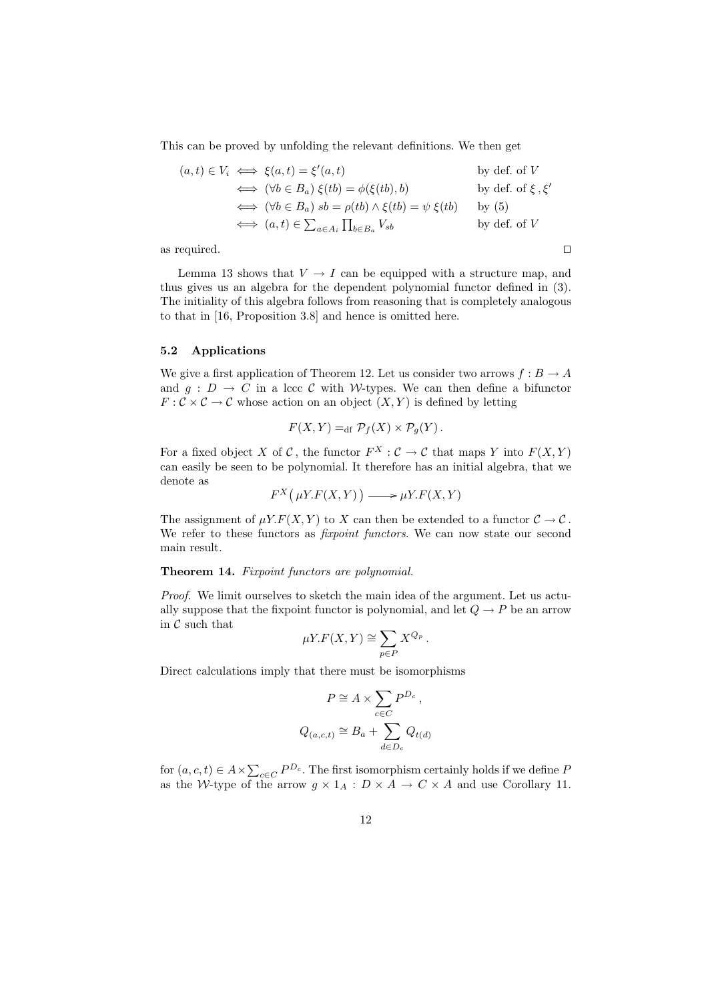This can be proved by unfolding the relevant definitions. We then get

$$
(a, t) \in V_i \iff \xi(a, t) = \xi'(a, t) \qquad \text{by def. of } V
$$
  
\n
$$
\iff (\forall b \in B_a) \xi(tb) = \phi(\xi(tb), b) \qquad \text{by def. of } \xi, \xi'
$$
  
\n
$$
\iff (\forall b \in B_a) \ s b = \rho(tb) \land \xi(tb) = \psi \xi(tb) \qquad \text{by (5)}
$$
  
\n
$$
\iff (a, t) \in \sum_{a \in A_i} \prod_{b \in B_a} V_{sb} \qquad \text{by def. of } V
$$

as required.  $\square$ 

Lemma 13 shows that  $V \to I$  can be equipped with a structure map, and thus gives us an algebra for the dependent polynomial functor defined in (3). The initiality of this algebra follows from reasoning that is completely analogous to that in [16, Proposition 3.8] and hence is omitted here.

#### 5.2 Applications

We give a first application of Theorem 12. Let us consider two arrows  $f : B \to A$ and  $g: D \to C$  in a lccc C with W-types. We can then define a bifunctor  $F: \mathcal{C} \times \mathcal{C} \to \mathcal{C}$  whose action on an object  $(X, Y)$  is defined by letting

$$
F(X,Y) =_{\text{df}} \mathcal{P}_f(X) \times \mathcal{P}_g(Y).
$$

For a fixed object X of C, the functor  $F^X : \mathcal{C} \to \mathcal{C}$  that maps Y into  $F(X, Y)$ can easily be seen to be polynomial. It therefore has an initial algebra, that we denote as

$$
F^X(\mu Y.F(X,Y)) \longrightarrow \mu Y.F(X,Y)
$$

The assignment of  $\mu Y.F(X, Y)$  to X can then be extended to a functor  $C \to C$ . We refer to these functors as *fixpoint functors*. We can now state our second main result.

#### Theorem 14. Fixpoint functors are polynomial.

Proof. We limit ourselves to sketch the main idea of the argument. Let us actually suppose that the fixpoint functor is polynomial, and let  $Q \to P$  be an arrow in  $\mathcal C$  such that

$$
\mu Y.F(X,Y) \cong \sum_{p \in P} X^{Q_p}.
$$

Direct calculations imply that there must be isomorphisms

$$
P \cong A \times \sum_{c \in C} P^{D_c},
$$
  

$$
Q_{(a,c,t)} \cong B_a + \sum_{d \in D_c} Q_{t(d)}
$$

for  $(a, c, t) \in A \times \sum_{c \in C} P^{D_c}$ . The first isomorphism certainly holds if we define P as the W-type of the arrow  $g \times 1_A : D \times A \to C \times A$  and use Corollary 11.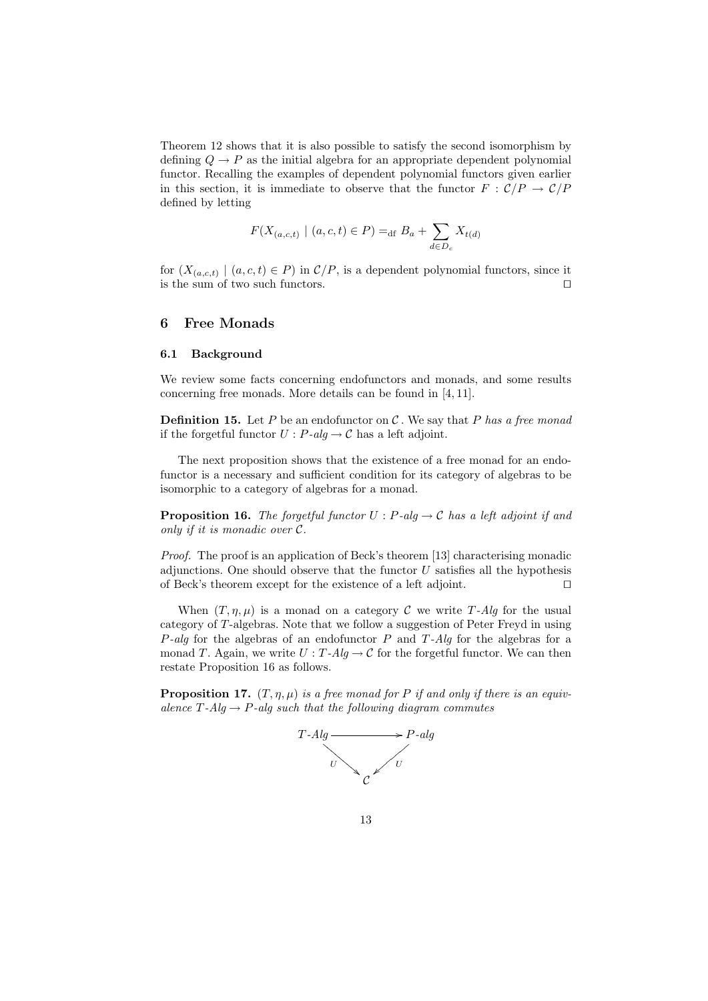Theorem 12 shows that it is also possible to satisfy the second isomorphism by defining  $Q \to P$  as the initial algebra for an appropriate dependent polynomial functor. Recalling the examples of dependent polynomial functors given earlier in this section, it is immediate to observe that the functor  $F : C/P \to C/P$ defined by letting

$$
F(X_{(a,c,t)} \mid (a,c,t) \in P) =_{\text{df}} B_a + \sum_{d \in D_c} X_{t(d)}
$$

for  $(X_{(a,c,t)} \mid (a, c, t) \in P)$  in  $\mathcal{C}/P$ , is a dependent polynomial functors, since it is the sum of two such functors.  $\Box$ 

## 6 Free Monads

#### 6.1 Background

We review some facts concerning endofunctors and monads, and some results concerning free monads. More details can be found in [4, 11].

**Definition 15.** Let P be an endofunctor on C. We say that P has a free monad if the forgetful functor  $U : P\text{-}alg \to \mathcal{C}$  has a left adjoint.

The next proposition shows that the existence of a free monad for an endofunctor is a necessary and sufficient condition for its category of algebras to be isomorphic to a category of algebras for a monad.

**Proposition 16.** The forgetful functor  $U : P$ -alg  $\rightarrow C$  has a left adjoint if and only if it is monadic over C.

Proof. The proof is an application of Beck's theorem [13] characterising monadic adjunctions. One should observe that the functor  $U$  satisfies all the hypothesis of Beck's theorem except for the existence of a left adjoint.  $\square$ 

When  $(T, \eta, \mu)$  is a monad on a category C we write T-Alg for the usual category of T-algebras. Note that we follow a suggestion of Peter Freyd in using  $P$ -alg for the algebras of an endofunctor P and T-Alg for the algebras for a monad T. Again, we write  $U : T - Alg \rightarrow C$  for the forgetful functor. We can then restate Proposition 16 as follows.

**Proposition 17.**  $(T, \eta, \mu)$  is a free monad for P if and only if there is an equivalence  $T$ -Alg  $\rightarrow$  P-alg such that the following diagram commutes

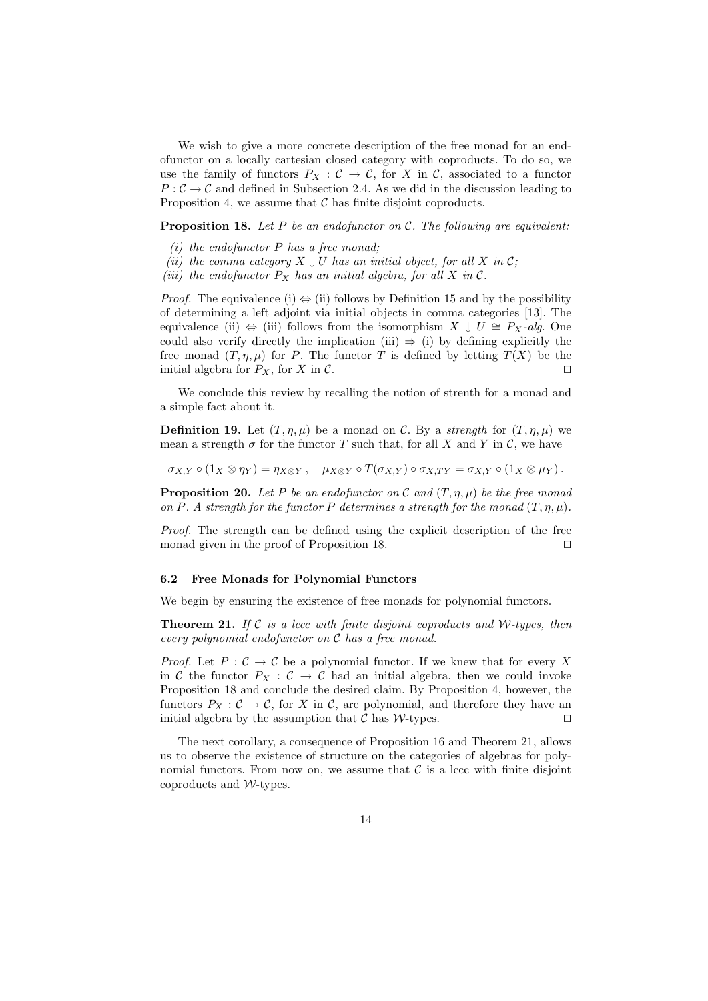We wish to give a more concrete description of the free monad for an endofunctor on a locally cartesian closed category with coproducts. To do so, we use the family of functors  $P_X : \mathcal{C} \to \mathcal{C}$ , for X in  $\mathcal{C}$ , associated to a functor  $P:\mathcal{C}\to\mathcal{C}$  and defined in Subsection 2.4. As we did in the discussion leading to Proposition 4, we assume that  $\mathcal C$  has finite disjoint coproducts.

**Proposition 18.** Let  $P$  be an endofunctor on  $C$ . The following are equivalent:

- (i) the endofunctor  $P$  has a free monad;
- (ii) the comma category  $X \downarrow U$  has an initial object, for all X in C;
- (iii) the endofunctor  $P_X$  has an initial algebra, for all X in C.

*Proof.* The equivalence (i)  $\Leftrightarrow$  (ii) follows by Definition 15 and by the possibility of determining a left adjoint via initial objects in comma categories [13]. The equivalence (ii)  $\Leftrightarrow$  (iii) follows from the isomorphism  $X \downarrow U \cong P_X$ -alg. One could also verify directly the implication (iii)  $\Rightarrow$  (i) by defining explicitly the free monad  $(T, \eta, \mu)$  for P. The functor T is defined by letting  $T(X)$  be the initial algebra for  $P_X$ , for X in C.

We conclude this review by recalling the notion of strenth for a monad and a simple fact about it.

**Definition 19.** Let  $(T, \eta, \mu)$  be a monad on C. By a strength for  $(T, \eta, \mu)$  we mean a strength  $\sigma$  for the functor T such that, for all X and Y in C, we have

$$
\sigma_{X,Y} \circ (1_X \otimes \eta_Y) = \eta_{X \otimes Y} , \quad \mu_{X \otimes Y} \circ T(\sigma_{X,Y}) \circ \sigma_{X,TY} = \sigma_{X,Y} \circ (1_X \otimes \mu_Y) .
$$

**Proposition 20.** Let P be an endofunctor on C and  $(T, \eta, \mu)$  be the free monad on P. A strength for the functor P determines a strength for the monad  $(T, \eta, \mu)$ .

Proof. The strength can be defined using the explicit description of the free monad given in the proof of Proposition 18.  $\Box$ 

## 6.2 Free Monads for Polynomial Functors

We begin by ensuring the existence of free monads for polynomial functors.

**Theorem 21.** If  $C$  is a lccc with finite disjoint coproducts and W-types, then every polynomial endofunctor on C has a free monad.

*Proof.* Let  $P: \mathcal{C} \to \mathcal{C}$  be a polynomial functor. If we knew that for every X in C the functor  $P_X : C \to C$  had an initial algebra, then we could invoke Proposition 18 and conclude the desired claim. By Proposition 4, however, the functors  $P_X: \mathcal{C} \to \mathcal{C}$ , for X in  $\mathcal{C}$ , are polynomial, and therefore they have an initial algebra by the assumption that  $\mathcal C$  has  $\mathcal W$ -types.  $\Box$ 

The next corollary, a consequence of Proposition 16 and Theorem 21, allows us to observe the existence of structure on the categories of algebras for polynomial functors. From now on, we assume that  $\mathcal C$  is a lccc with finite disjoint coproducts and W-types.